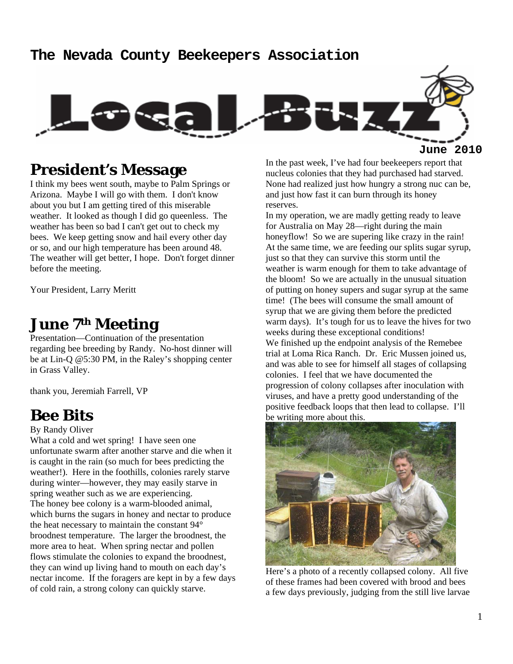#### **The Nevada County Beekeepers Association**



**President's Message** 

I think my bees went south, maybe to Palm Springs or Arizona. Maybe I will go with them. I don't know about you but I am getting tired of this miserable weather. It looked as though I did go queenless. The weather has been so bad I can't get out to check my bees. We keep getting snow and hail every other day or so, and our high temperature has been around 48. The weather will get better, I hope. Don't forget dinner before the meeting.

Your President, Larry Meritt

### **June 7th Meeting**

Presentation—Continuation of the presentation regarding bee breeding by Randy. No-host dinner will be at Lin-Q @5:30 PM, in the Raley's shopping center in Grass Valley.

thank you, Jeremiah Farrell, VP

#### **Bee Bits**

By Randy Oliver

What a cold and wet spring! I have seen one unfortunate swarm after another starve and die when it is caught in the rain (so much for bees predicting the weather!). Here in the foothills, colonies rarely starve during winter—however, they may easily starve in spring weather such as we are experiencing. The honey bee colony is a warm-blooded animal, which burns the sugars in honey and nectar to produce the heat necessary to maintain the constant 94° broodnest temperature. The larger the broodnest, the more area to heat. When spring nectar and pollen flows stimulate the colonies to expand the broodnest, they can wind up living hand to mouth on each day's nectar income. If the foragers are kept in by a few days of cold rain, a strong colony can quickly starve.

In the past week, I've had four beekeepers report that nucleus colonies that they had purchased had starved. None had realized just how hungry a strong nuc can be, and just how fast it can burn through its honey reserves.

In my operation, we are madly getting ready to leave for Australia on May 28—right during the main honeyflow! So we are supering like crazy in the rain! At the same time, we are feeding our splits sugar syrup, just so that they can survive this storm until the weather is warm enough for them to take advantage of the bloom! So we are actually in the unusual situation of putting on honey supers and sugar syrup at the same time! (The bees will consume the small amount of syrup that we are giving them before the predicted warm days). It's tough for us to leave the hives for two weeks during these exceptional conditions! We finished up the endpoint analysis of the Remebee trial at Loma Rica Ranch. Dr. Eric Mussen joined us, and was able to see for himself all stages of collapsing colonies. I feel that we have documented the progression of colony collapses after inoculation with viruses, and have a pretty good understanding of the positive feedback loops that then lead to collapse. I'll be writing more about this.



Here's a photo of a recently collapsed colony. All five of these frames had been covered with brood and bees a few days previously, judging from the still live larvae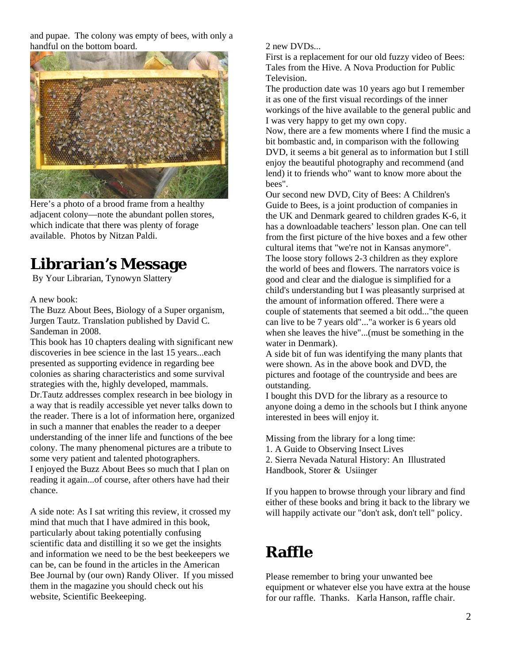and pupae. The colony was empty of bees, with only a handful on the bottom board.



Here's a photo of a brood frame from a healthy adjacent colony—note the abundant pollen stores, which indicate that there was plenty of forage available. Photos by Nitzan Paldi.

## **Librarian's Message**

By Your Librarian, Tynowyn Slattery

A new book:

The Buzz About Bees, Biology of a Super organism, Jurgen Tautz. Translation published by David C. Sandeman in 2008.

This book has 10 chapters dealing with significant new discoveries in bee science in the last 15 years...each presented as supporting evidence in regarding bee colonies as sharing characteristics and some survival strategies with the, highly developed, mammals. Dr.Tautz addresses complex research in bee biology in a way that is readily accessible yet never talks down to the reader. There is a lot of information here, organized in such a manner that enables the reader to a deeper understanding of the inner life and functions of the bee colony. The many phenomenal pictures are a tribute to some very patient and talented photographers. I enjoyed the Buzz About Bees so much that I plan on reading it again...of course, after others have had their chance.

A side note: As I sat writing this review, it crossed my mind that much that I have admired in this book, particularly about taking potentially confusing scientific data and distilling it so we get the insights and information we need to be the best beekeepers we can be, can be found in the articles in the American Bee Journal by (our own) Randy Oliver. If you missed them in the magazine you should check out his website, Scientific Beekeeping.

2 new DVDs...

First is a replacement for our old fuzzy video of Bees: Tales from the Hive. A Nova Production for Public Television.

The production date was 10 years ago but I remember it as one of the first visual recordings of the inner workings of the hive available to the general public and I was very happy to get my own copy.

Now, there are a few moments where I find the music a bit bombastic and, in comparison with the following DVD, it seems a bit general as to information but I still enjoy the beautiful photography and recommend (and lend) it to friends who" want to know more about the bees".

Our second new DVD, City of Bees: A Children's Guide to Bees, is a joint production of companies in the UK and Denmark geared to children grades K-6, it has a downloadable teachers' lesson plan. One can tell from the first picture of the hive boxes and a few other cultural items that "we're not in Kansas anymore". The loose story follows 2-3 children as they explore the world of bees and flowers. The narrators voice is good and clear and the dialogue is simplified for a child's understanding but I was pleasantly surprised at the amount of information offered. There were a couple of statements that seemed a bit odd..."the queen can live to be 7 years old"..."a worker is 6 years old when she leaves the hive"...(must be something in the water in Denmark).

A side bit of fun was identifying the many plants that were shown. As in the above book and DVD, the pictures and footage of the countryside and bees are outstanding.

I bought this DVD for the library as a resource to anyone doing a demo in the schools but I think anyone interested in bees will enjoy it.

Missing from the library for a long time: 1. A Guide to Observing Insect Lives 2. Sierra Nevada Natural History: An Illustrated Handbook, Storer & Usiinger

If you happen to browse through your library and find either of these books and bring it back to the library we will happily activate our "don't ask, don't tell" policy.

## **Raffle**

Please remember to bring your unwanted bee equipment or whatever else you have extra at the house for our raffle. Thanks. Karla Hanson, raffle chair.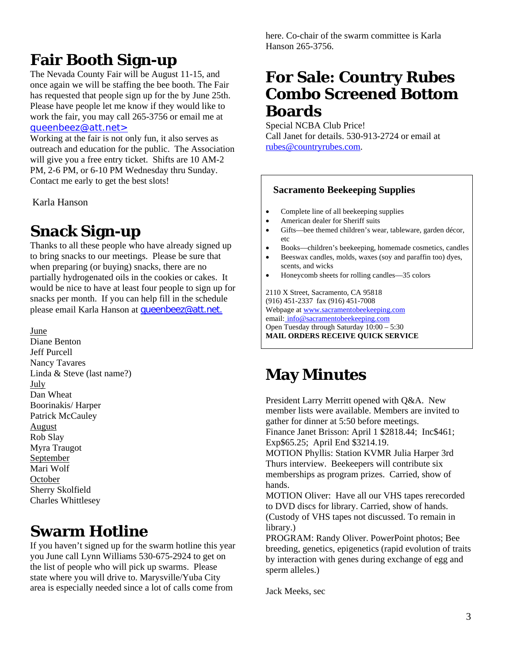# **Fair Booth Sign-up**

The Nevada County Fair will be August 11-15, and once again we will be staffing the bee booth. The Fair has requested that people sign up for the by June 25th. Please have people let me know if they would like to work the fair, you may call 265-3756 or email me at queenbeez@att.net>

Working at the fair is not only fun, it also serves as outreach and education for the public. The Association will give you a free entry ticket. Shifts are 10 AM-2 PM, 2-6 PM, or 6-10 PM Wednesday thru Sunday. Contact me early to get the best slots!

Karla Hanson

## **Snack Sign-up**

Thanks to all these people who have already signed up to bring snacks to our meetings. Please be sure that when preparing (or buying) snacks, there are no partially hydrogenated oils in the cookies or cakes. It would be nice to have at least four people to sign up for snacks per month. If you can help fill in the schedule please email Karla Hanson at queenbeez@att.net.

June

Diane Benton Jeff Purcell Nancy Tavares Linda & Steve (last name?) July Dan Wheat Boorinakis/ Harper Patrick McCauley August Rob Slay Myra Traugot September Mari Wolf **October** Sherry Skolfield Charles Whittlesey

## **Swarm Hotline**

If you haven't signed up for the swarm hotline this year you June call Lynn Williams 530-675-2924 to get on the list of people who will pick up swarms. Please state where you will drive to. Marysville/Yuba City area is especially needed since a lot of calls come from

here. Co-chair of the swarm committee is Karla Hanson 265-3756.

## **For Sale: Country Rubes Combo Screened Bottom Boards**

Special NCBA Club Price! Call Janet for details. 530-913-2724 or email at rubes@countryrubes.com.

#### **Sacramento Beekeeping Supplies**

- Complete line of all beekeeping supplies
- American dealer for Sheriff suits
- Gifts—bee themed children's wear, tableware, garden décor, etc
- Books—children's beekeeping, homemade cosmetics, candles
- Beeswax candles, molds, waxes (soy and paraffin too) dyes, scents, and wicks
- Honeycomb sheets for rolling candles—35 colors

2110 X Street, Sacramento, CA 95818 (916) 451-2337 fax (916) 451-7008 Webpage at www.sacramentobeekeeping.com email: info@sacramentobeekeeping.com Open Tuesday through Saturday 10:00 – 5:30 **MAIL ORDERS RECEIVE QUICK SERVICE** 

## **May Minutes**

President Larry Merritt opened with Q&A. New member lists were available. Members are invited to gather for dinner at 5:50 before meetings. Finance Janet Brisson: April 1 \$2818.44; Inc\$461; Exp\$65.25; April End \$3214.19. MOTION Phyllis: Station KVMR Julia Harper 3rd Thurs interview. Beekeepers will contribute six memberships as program prizes. Carried, show of hands. MOTION Oliver: Have all our VHS tapes rerecorded to DVD discs for library. Carried, show of hands. (Custody of VHS tapes not discussed. To remain in

library.) PROGRAM: Randy Oliver. PowerPoint photos; Bee breeding, genetics, epigenetics (rapid evolution of traits by interaction with genes during exchange of egg and sperm alleles.)

Jack Meeks, sec